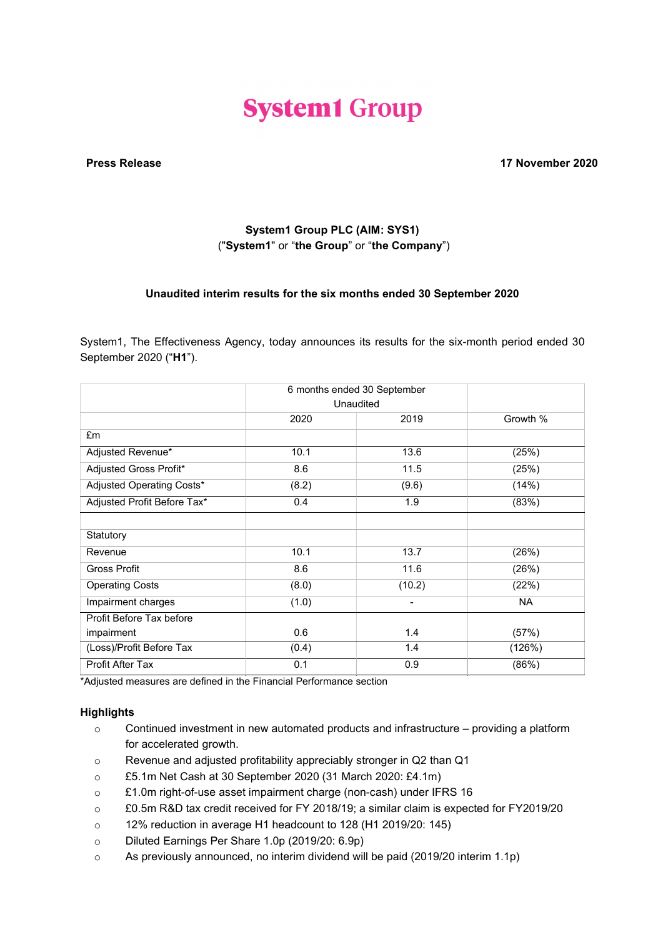# **System1 Group**

Press Release 17 November 2020

## System1 Group PLC (AIM: SYS1) ("System1" or "the Group" or "the Company")

## Unaudited interim results for the six months ended 30 September 2020

System1, The Effectiveness Agency, today announces its results for the six-month period ended 30 September 2020 ("H1").

|                             | 6 months ended 30 September |                          |          |
|-----------------------------|-----------------------------|--------------------------|----------|
|                             | Unaudited                   |                          |          |
|                             | 2020                        | 2019                     | Growth % |
| £m                          |                             |                          |          |
| Adjusted Revenue*           | 10.1                        | 13.6                     | (25%)    |
| Adjusted Gross Profit*      | 8.6                         | 11.5                     | (25%)    |
| Adjusted Operating Costs*   | (8.2)                       | (9.6)                    | (14%)    |
| Adjusted Profit Before Tax* | 0.4                         | 1.9                      | (83%)    |
|                             |                             |                          |          |
| Statutory                   |                             |                          |          |
| Revenue                     | 10.1                        | 13.7                     | (26%)    |
| <b>Gross Profit</b>         | 8.6                         | 11.6                     | (26%)    |
| <b>Operating Costs</b>      | (8.0)                       | (10.2)                   | (22%)    |
| Impairment charges          | (1.0)                       | $\overline{\phantom{0}}$ | NA.      |
| Profit Before Tax before    |                             |                          |          |
| impairment                  | 0.6                         | 1.4                      | (57%)    |
| (Loss)/Profit Before Tax    | (0.4)                       | 1.4                      | (126%)   |
| Profit After Tax            | 0.1                         | 0.9                      | (86%)    |

\*Adjusted measures are defined in the Financial Performance section

## **Highlights**

- o Continued investment in new automated products and infrastructure providing a platform for accelerated growth.
- o Revenue and adjusted profitability appreciably stronger in Q2 than Q1
- o £5.1m Net Cash at 30 September 2020 (31 March 2020: £4.1m)
- o £1.0m right-of-use asset impairment charge (non-cash) under IFRS 16
- o £0.5m R&D tax credit received for FY 2018/19; a similar claim is expected for FY2019/20
- o 12% reduction in average H1 headcount to 128 (H1 2019/20: 145)
- o Diluted Earnings Per Share 1.0p (2019/20: 6.9p)
- o As previously announced, no interim dividend will be paid (2019/20 interim 1.1p)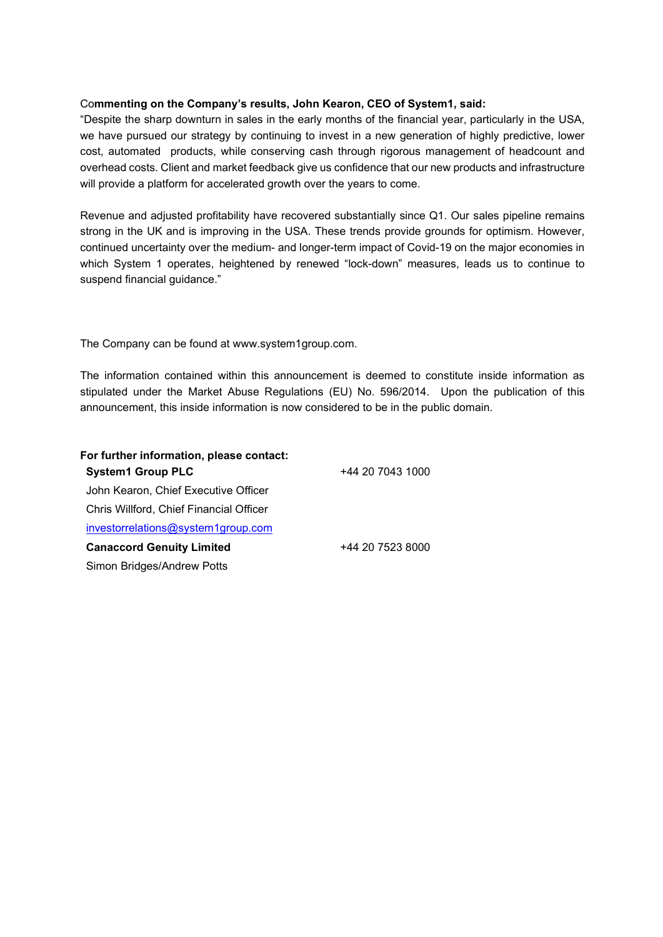#### Commenting on the Company's results, John Kearon, CEO of System1, said:

"Despite the sharp downturn in sales in the early months of the financial year, particularly in the USA, we have pursued our strategy by continuing to invest in a new generation of highly predictive, lower cost, automated products, while conserving cash through rigorous management of headcount and overhead costs. Client and market feedback give us confidence that our new products and infrastructure will provide a platform for accelerated growth over the years to come.

Revenue and adjusted profitability have recovered substantially since Q1. Our sales pipeline remains strong in the UK and is improving in the USA. These trends provide grounds for optimism. However, continued uncertainty over the medium- and longer-term impact of Covid-19 on the major economies in which System 1 operates, heightened by renewed "lock-down" measures, leads us to continue to suspend financial guidance."

The Company can be found at www.system1group.com.

The information contained within this announcement is deemed to constitute inside information as stipulated under the Market Abuse Regulations (EU) No. 596/2014. Upon the publication of this announcement, this inside information is now considered to be in the public domain.

| For further information, please contact: |                  |
|------------------------------------------|------------------|
| <b>System1 Group PLC</b>                 | +44 20 7043 1000 |
| John Kearon, Chief Executive Officer     |                  |
| Chris Willford, Chief Financial Officer  |                  |
| investorrelations@system1group.com       |                  |
| <b>Canaccord Genuity Limited</b>         | +44 20 7523 8000 |
| Simon Bridges/Andrew Potts               |                  |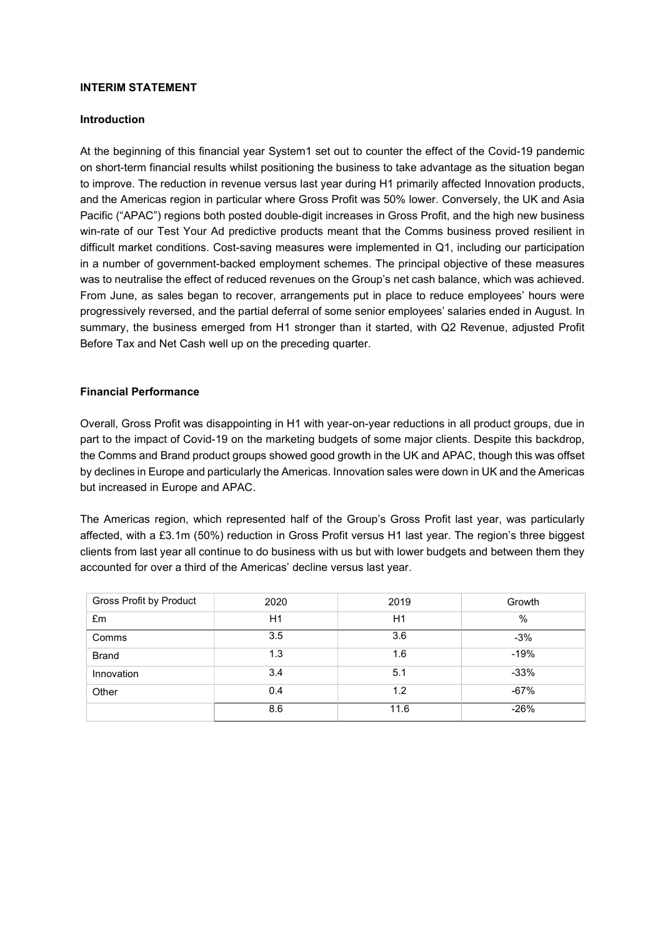#### INTERIM STATEMENT

#### Introduction

At the beginning of this financial year System1 set out to counter the effect of the Covid-19 pandemic on short-term financial results whilst positioning the business to take advantage as the situation began to improve. The reduction in revenue versus last year during H1 primarily affected Innovation products, and the Americas region in particular where Gross Profit was 50% lower. Conversely, the UK and Asia Pacific ("APAC") regions both posted double-digit increases in Gross Profit, and the high new business win-rate of our Test Your Ad predictive products meant that the Comms business proved resilient in difficult market conditions. Cost-saving measures were implemented in Q1, including our participation in a number of government-backed employment schemes. The principal objective of these measures was to neutralise the effect of reduced revenues on the Group's net cash balance, which was achieved. From June, as sales began to recover, arrangements put in place to reduce employees' hours were progressively reversed, and the partial deferral of some senior employees' salaries ended in August. In summary, the business emerged from H1 stronger than it started, with Q2 Revenue, adjusted Profit Before Tax and Net Cash well up on the preceding quarter.

#### Financial Performance

Overall, Gross Profit was disappointing in H1 with year-on-year reductions in all product groups, due in part to the impact of Covid-19 on the marketing budgets of some major clients. Despite this backdrop, the Comms and Brand product groups showed good growth in the UK and APAC, though this was offset by declines in Europe and particularly the Americas. Innovation sales were down in UK and the Americas but increased in Europe and APAC.

The Americas region, which represented half of the Group's Gross Profit last year, was particularly affected, with a £3.1m (50%) reduction in Gross Profit versus H1 last year. The region's three biggest clients from last year all continue to do business with us but with lower budgets and between them they accounted for over a third of the Americas' decline versus last year.

| Gross Profit by Product | 2020 | 2019 | Growth        |
|-------------------------|------|------|---------------|
| £m                      | H1   | H1   | $\frac{0}{0}$ |
| Comms                   | 3.5  | 3.6  | $-3%$         |
| <b>Brand</b>            | 1.3  | 1.6  | $-19%$        |
| Innovation              | 3.4  | 5.1  | $-33%$        |
| Other                   | 0.4  | 1.2  | $-67%$        |
|                         | 8.6  | 11.6 | $-26%$        |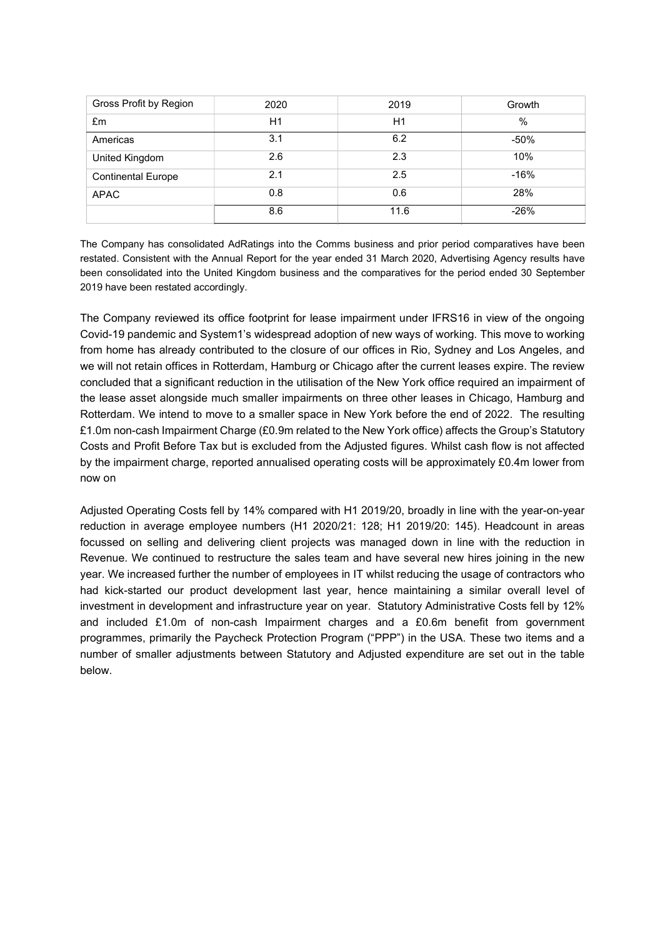| Gross Profit by Region    | 2020 | 2019 | Growth |
|---------------------------|------|------|--------|
| £m                        | H1   | H1   | $\%$   |
| Americas                  | 3.1  | 6.2  | $-50%$ |
| United Kingdom            | 2.6  | 2.3  | 10%    |
| <b>Continental Europe</b> | 2.1  | 2.5  | $-16%$ |
| <b>APAC</b>               | 0.8  | 0.6  | 28%    |
|                           | 8.6  | 11.6 | $-26%$ |

The Company has consolidated AdRatings into the Comms business and prior period comparatives have been restated. Consistent with the Annual Report for the year ended 31 March 2020, Advertising Agency results have been consolidated into the United Kingdom business and the comparatives for the period ended 30 September 2019 have been restated accordingly.

The Company reviewed its office footprint for lease impairment under IFRS16 in view of the ongoing Covid-19 pandemic and System1's widespread adoption of new ways of working. This move to working from home has already contributed to the closure of our offices in Rio, Sydney and Los Angeles, and we will not retain offices in Rotterdam, Hamburg or Chicago after the current leases expire. The review concluded that a significant reduction in the utilisation of the New York office required an impairment of the lease asset alongside much smaller impairments on three other leases in Chicago, Hamburg and Rotterdam. We intend to move to a smaller space in New York before the end of 2022. The resulting £1.0m non-cash Impairment Charge (£0.9m related to the New York office) affects the Group's Statutory Costs and Profit Before Tax but is excluded from the Adjusted figures. Whilst cash flow is not affected by the impairment charge, reported annualised operating costs will be approximately £0.4m lower from now on

Adjusted Operating Costs fell by 14% compared with H1 2019/20, broadly in line with the year-on-year reduction in average employee numbers (H1 2020/21: 128; H1 2019/20: 145). Headcount in areas focussed on selling and delivering client projects was managed down in line with the reduction in Revenue. We continued to restructure the sales team and have several new hires joining in the new year. We increased further the number of employees in IT whilst reducing the usage of contractors who had kick-started our product development last year, hence maintaining a similar overall level of investment in development and infrastructure year on year. Statutory Administrative Costs fell by 12% and included £1.0m of non-cash Impairment charges and a £0.6m benefit from government programmes, primarily the Paycheck Protection Program ("PPP") in the USA. These two items and a number of smaller adjustments between Statutory and Adjusted expenditure are set out in the table below.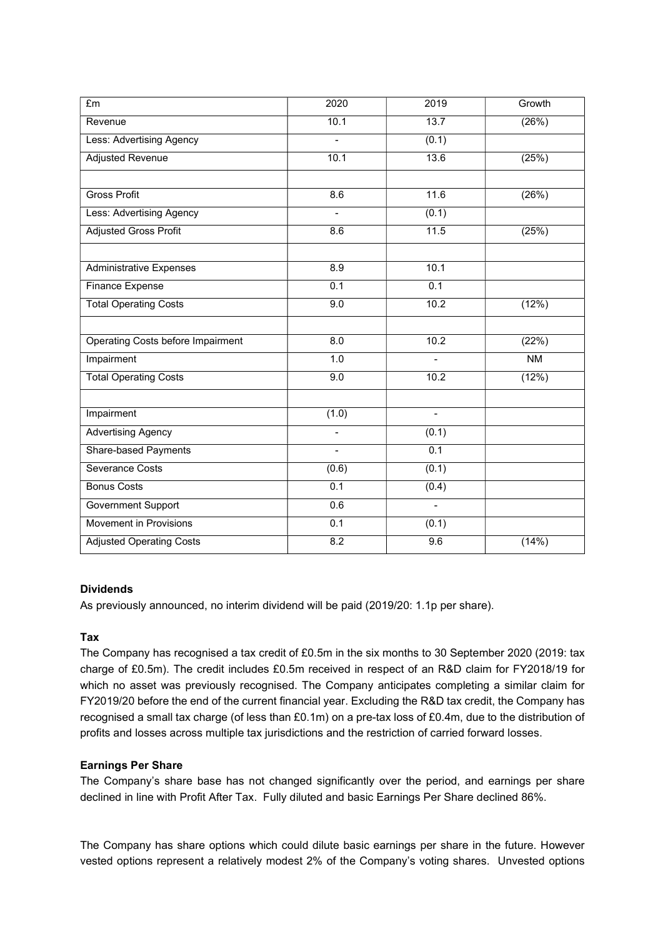| £m                                | $\overline{2020}$        | 2019             | Growth    |
|-----------------------------------|--------------------------|------------------|-----------|
| Revenue                           | 10.1                     | 13.7             | (26%)     |
| Less: Advertising Agency          | $\overline{a}$           | (0.1)            |           |
| <b>Adjusted Revenue</b>           | 10.1                     | 13.6             | (25%)     |
|                                   |                          |                  |           |
| <b>Gross Profit</b>               | 8.6                      | 11.6             | (26%)     |
| Less: Advertising Agency          | $\frac{1}{2}$            | (0.1)            |           |
| <b>Adjusted Gross Profit</b>      | 8.6                      | 11.5             | (25%)     |
|                                   |                          |                  |           |
| <b>Administrative Expenses</b>    | 8.9                      | 10.1             |           |
| <b>Finance Expense</b>            | 0.1                      | $\overline{0.1}$ |           |
| <b>Total Operating Costs</b>      | 9.0                      | 10.2             | (12%)     |
|                                   |                          |                  |           |
| Operating Costs before Impairment | 8.0                      | 10.2             | (22%)     |
| Impairment                        | 1.0                      |                  | <b>NM</b> |
| <b>Total Operating Costs</b>      | $\overline{9.0}$         | 10.2             | (12%)     |
|                                   |                          |                  |           |
| Impairment                        | (1.0)                    | $\blacksquare$   |           |
| <b>Advertising Agency</b>         | $\overline{\phantom{a}}$ | (0.1)            |           |
| <b>Share-based Payments</b>       | $\frac{1}{2}$            | 0.1              |           |
| Severance Costs                   | (0.6)                    | (0.1)            |           |
| <b>Bonus Costs</b>                | $\overline{0.1}$         | (0.4)            |           |
| Government Support                | 0.6                      | $\blacksquare$   |           |
| Movement in Provisions            | 0.1                      | (0.1)            |           |
| <b>Adjusted Operating Costs</b>   | 8.2                      | 9.6              | (14%)     |

#### Dividends

As previously announced, no interim dividend will be paid (2019/20: 1.1p per share).

## Tax

The Company has recognised a tax credit of £0.5m in the six months to 30 September 2020 (2019: tax charge of £0.5m). The credit includes £0.5m received in respect of an R&D claim for FY2018/19 for which no asset was previously recognised. The Company anticipates completing a similar claim for FY2019/20 before the end of the current financial year. Excluding the R&D tax credit, the Company has recognised a small tax charge (of less than £0.1m) on a pre-tax loss of £0.4m, due to the distribution of profits and losses across multiple tax jurisdictions and the restriction of carried forward losses.

## Earnings Per Share

The Company's share base has not changed significantly over the period, and earnings per share declined in line with Profit After Tax. Fully diluted and basic Earnings Per Share declined 86%.

The Company has share options which could dilute basic earnings per share in the future. However vested options represent a relatively modest 2% of the Company's voting shares. Unvested options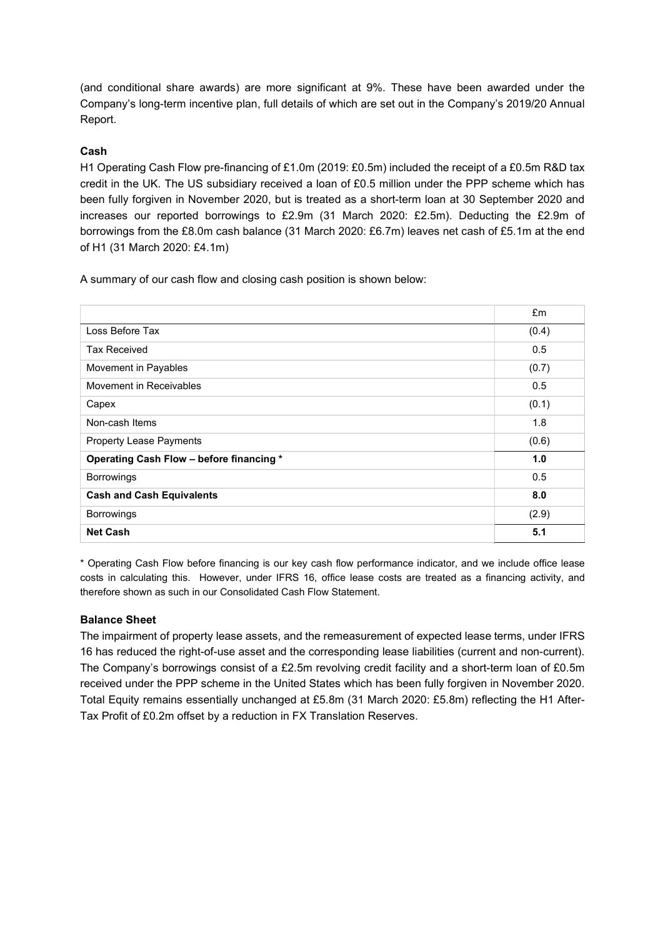(and conditional share awards) are more significant at 9%. These have been awarded under the Company's long-term incentive plan, full details of which are set out in the Company's 2019/20 Annual Report.

## Cash

H1 Operating Cash Flow pre-financing of £1.0m (2019: £0.5m) included the receipt of a £0.5m R&D tax credit in the UK. The US subsidiary received a loan of £0.5 million under the PPP scheme which has been fully forgiven in November 2020, but is treated as a short-term loan at 30 September 2020 and increases our reported borrowings to £2.9m (31 March 2020: £2.5m). Deducting the £2.9m of borrowings from the £8.0m cash balance (31 March 2020: £6.7m) leaves net cash of £5.1m at the end of H1 (31 March 2020: £4.1m)

A summary of our cash flow and closing cash position is shown below:

|                                          | £m    |
|------------------------------------------|-------|
| Loss Before Tax                          | (0.4) |
| <b>Tax Received</b>                      | 0.5   |
| Movement in Payables                     | (0.7) |
| Movement in Receivables                  | 0.5   |
| Capex                                    | (0.1) |
| Non-cash Items                           | 1.8   |
| <b>Property Lease Payments</b>           | (0.6) |
| Operating Cash Flow - before financing * | 1.0   |
| <b>Borrowings</b>                        | 0.5   |
| <b>Cash and Cash Equivalents</b>         | 8.0   |
| <b>Borrowings</b>                        | (2.9) |
| <b>Net Cash</b>                          | 5.1   |

\* Operating Cash Flow before financing is our key cash flow performance indicator, and we include office lease costs in calculating this. However, under IFRS 16, office lease costs are treated as a financing activity, and therefore shown as such in our Consolidated Cash Flow Statement.

## Balance Sheet

The impairment of property lease assets, and the remeasurement of expected lease terms, under IFRS 16 has reduced the right-of-use asset and the corresponding lease liabilities (current and non-current). The Company's borrowings consist of a £2.5m revolving credit facility and a short-term loan of £0.5m received under the PPP scheme in the United States which has been fully forgiven in November 2020. Total Equity remains essentially unchanged at £5.8m (31 March 2020: £5.8m) reflecting the H1 After-Tax Profit of £0.2m offset by a reduction in FX Translation Reserves.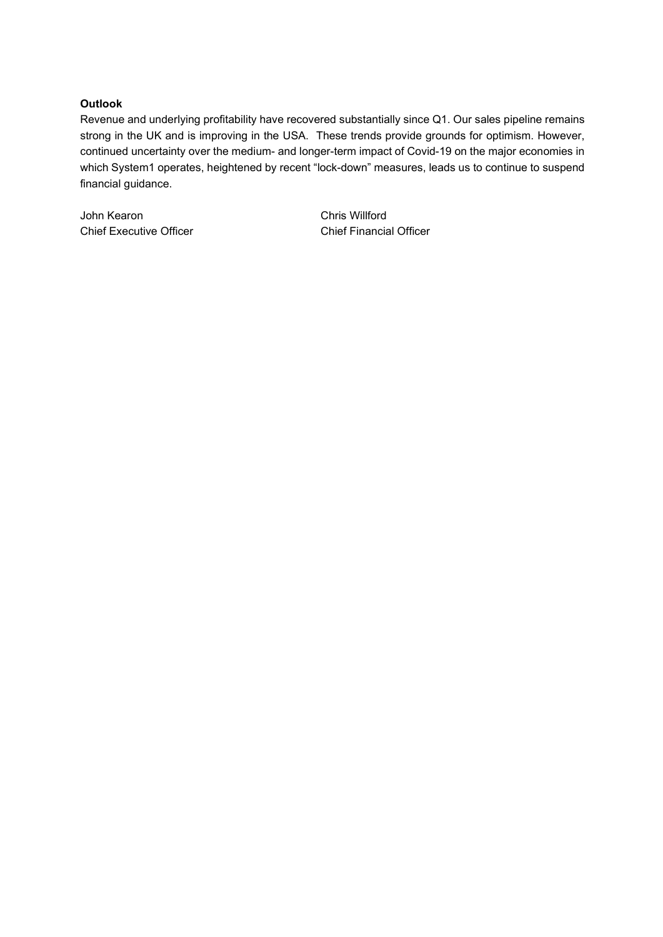## **Outlook**

Revenue and underlying profitability have recovered substantially since Q1. Our sales pipeline remains strong in the UK and is improving in the USA. These trends provide grounds for optimism. However, continued uncertainty over the medium- and longer-term impact of Covid-19 on the major economies in which System1 operates, heightened by recent "lock-down" measures, leads us to continue to suspend financial guidance.

John Kearon Chris Willford Chief Executive Officer Chief Financial Officer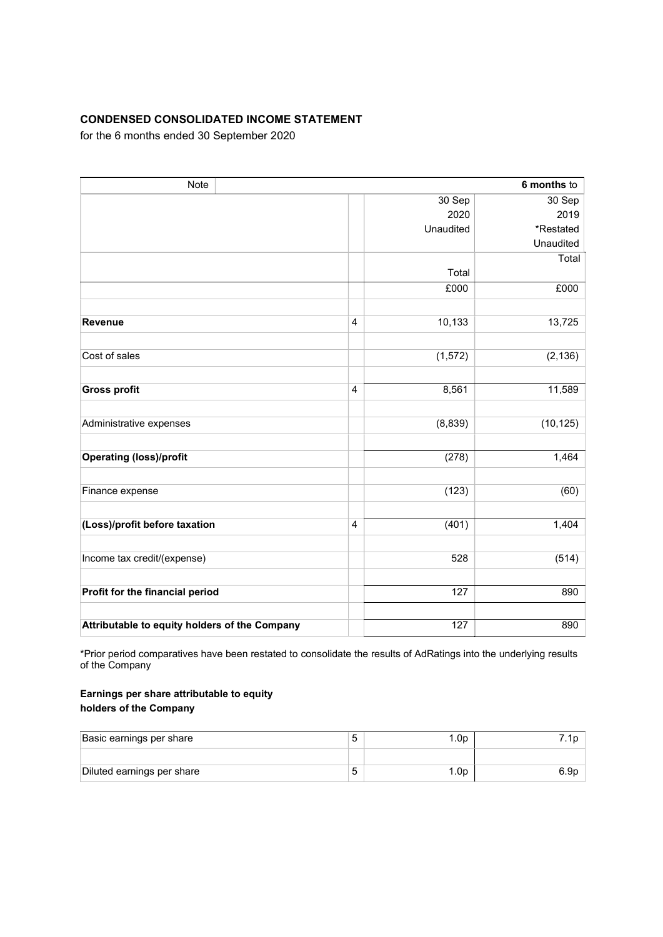## CONDENSED CONSOLIDATED INCOME STATEMENT

for the 6 months ended 30 September 2020

| Note                                          |                  |           | 6 months to |  |
|-----------------------------------------------|------------------|-----------|-------------|--|
|                                               | 30 Sep<br>30 Sep |           |             |  |
|                                               |                  | 2020      | 2019        |  |
|                                               |                  | Unaudited | *Restated   |  |
|                                               |                  |           | Unaudited   |  |
|                                               |                  |           | Total       |  |
|                                               |                  | Total     |             |  |
|                                               |                  | £000      | £000        |  |
|                                               |                  |           |             |  |
| <b>Revenue</b>                                | $\overline{4}$   | 10,133    | 13,725      |  |
|                                               |                  |           |             |  |
| Cost of sales                                 |                  | (1, 572)  | (2, 136)    |  |
|                                               |                  |           |             |  |
| <b>Gross profit</b>                           | $\overline{4}$   | 8,561     | 11,589      |  |
|                                               |                  |           |             |  |
| Administrative expenses                       |                  | (8,839)   | (10, 125)   |  |
|                                               |                  |           |             |  |
| <b>Operating (loss)/profit</b>                |                  | (278)     | 1,464       |  |
|                                               |                  |           |             |  |
| Finance expense                               |                  | (123)     | (60)        |  |
|                                               |                  |           |             |  |
| (Loss)/profit before taxation                 | 4                | (401)     | 1,404       |  |
|                                               |                  |           |             |  |
| Income tax credit/(expense)                   |                  | 528       | (514)       |  |
|                                               |                  |           |             |  |
| Profit for the financial period               |                  | 127       | 890         |  |
|                                               |                  |           |             |  |
| Attributable to equity holders of the Company |                  | 127       | 890         |  |

\*Prior period comparatives have been restated to consolidate the results of AdRatings into the underlying results of the Company

## Earnings per share attributable to equity holders of the Company

| Basic earnings per share   | .0p |      |
|----------------------------|-----|------|
|                            |     |      |
| Diluted earnings per share | .0p | o.9p |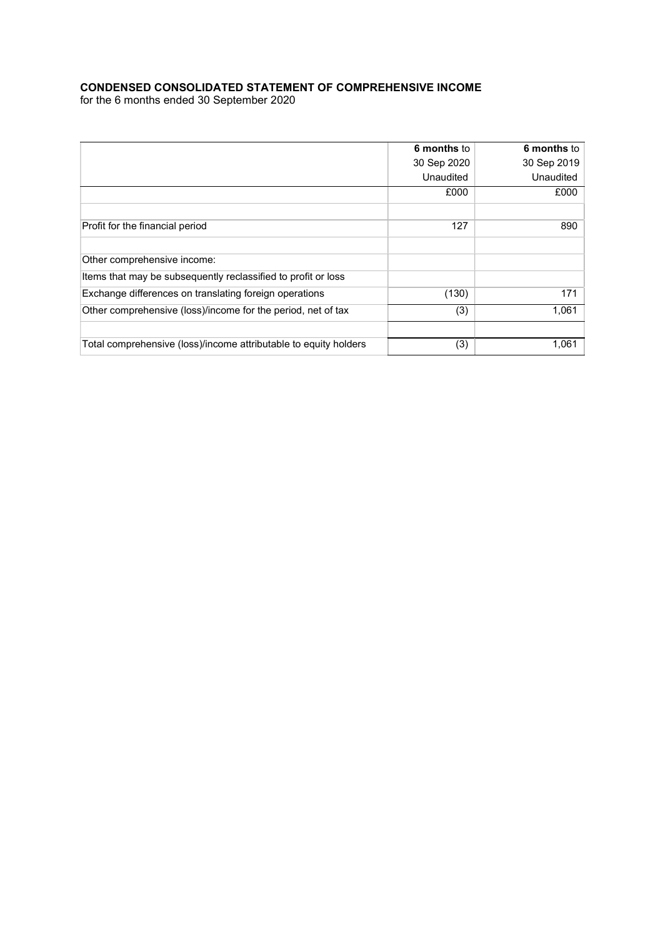## CONDENSED CONSOLIDATED STATEMENT OF COMPREHENSIVE INCOME

for the 6 months ended 30 September 2020

|                                                                  | 6 months to | 6 months to |
|------------------------------------------------------------------|-------------|-------------|
|                                                                  | 30 Sep 2020 | 30 Sep 2019 |
|                                                                  | Unaudited   | Unaudited   |
|                                                                  | £000        | £000        |
|                                                                  |             |             |
| Profit for the financial period                                  | 127         | 890         |
|                                                                  |             |             |
| Other comprehensive income:                                      |             |             |
| Items that may be subsequently reclassified to profit or loss    |             |             |
| Exchange differences on translating foreign operations           | (130)       | 171         |
| Other comprehensive (loss)/income for the period, net of tax     | (3)         | 1,061       |
|                                                                  |             |             |
| Total comprehensive (loss)/income attributable to equity holders | (3)         | 1,061       |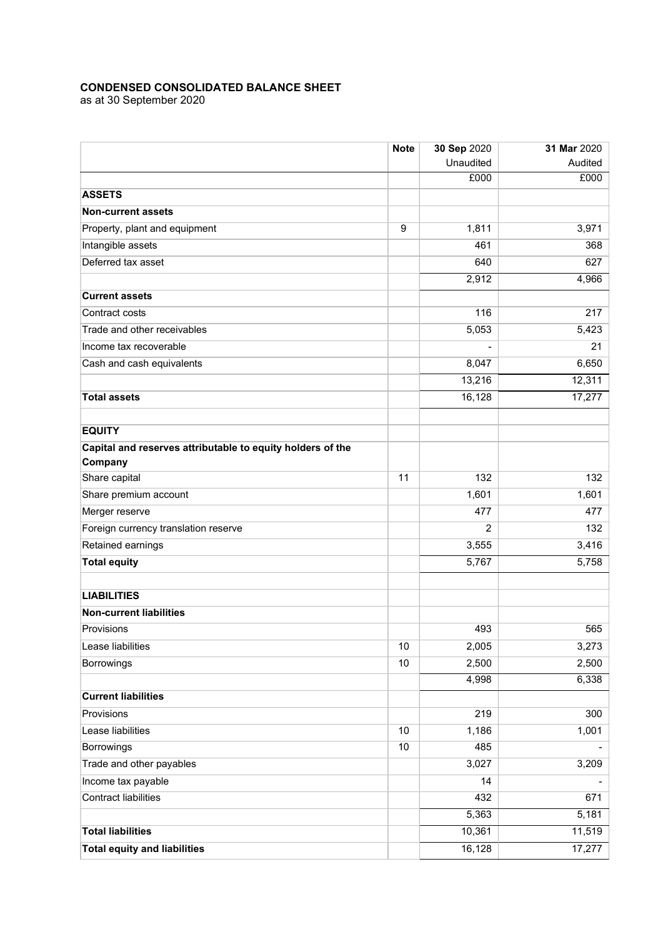#### CONDENSED CONSOLIDATED BALANCE SHEET

as at 30 September 2020

|                                                            | <b>Note</b> | 30 Sep 2020    | 31 Mar 2020 |
|------------------------------------------------------------|-------------|----------------|-------------|
|                                                            |             | Unaudited      | Audited     |
|                                                            |             | £000           | £000        |
| <b>ASSETS</b>                                              |             |                |             |
| <b>Non-current assets</b>                                  |             |                |             |
| Property, plant and equipment                              | 9           | 1,811          | 3,971       |
| Intangible assets                                          |             | 461            | 368         |
| Deferred tax asset                                         |             | 640            | 627         |
|                                                            |             | 2,912          | 4,966       |
| <b>Current assets</b>                                      |             |                |             |
| Contract costs                                             |             | 116            | 217         |
| Trade and other receivables                                |             | 5,053          | 5,423       |
| Income tax recoverable                                     |             |                | 21          |
| Cash and cash equivalents                                  |             | 8,047          | 6,650       |
|                                                            |             | 13,216         | 12,311      |
| <b>Total assets</b>                                        |             | 16,128         | 17,277      |
|                                                            |             |                |             |
| <b>EQUITY</b>                                              |             |                |             |
| Capital and reserves attributable to equity holders of the |             |                |             |
| Company                                                    |             |                |             |
| Share capital                                              | 11          | 132            | 132         |
| Share premium account                                      |             | 1,601          | 1,601       |
| Merger reserve                                             |             | 477            | 477         |
| Foreign currency translation reserve                       |             | $\overline{2}$ | 132         |
| Retained earnings                                          |             | 3,555          | 3,416       |
| <b>Total equity</b>                                        |             | 5,767          | 5,758       |
|                                                            |             |                |             |
| <b>LIABILITIES</b>                                         |             |                |             |
| <b>Non-current liabilities</b>                             |             |                |             |
| Provisions                                                 |             | 493            | 565         |
| Lease liabilities                                          | 10          | 2,005          | 3,273       |
| <b>Borrowings</b>                                          | 10          | 2,500          | 2,500       |
|                                                            |             | 4,998          | 6,338       |
| <b>Current liabilities</b>                                 |             |                |             |
| Provisions                                                 |             | 219            | 300         |
| Lease liabilities                                          | 10          | 1,186          | 1,001       |
| Borrowings                                                 | $10$        | 485            |             |
| Trade and other payables                                   |             | 3,027          | 3,209       |
| Income tax payable                                         |             | 14             |             |
| <b>Contract liabilities</b>                                |             | 432            | 671         |
|                                                            |             | 5,363          | 5,181       |
| <b>Total liabilities</b>                                   |             | 10,361         | 11,519      |
| <b>Total equity and liabilities</b>                        |             | 16,128         | 17,277      |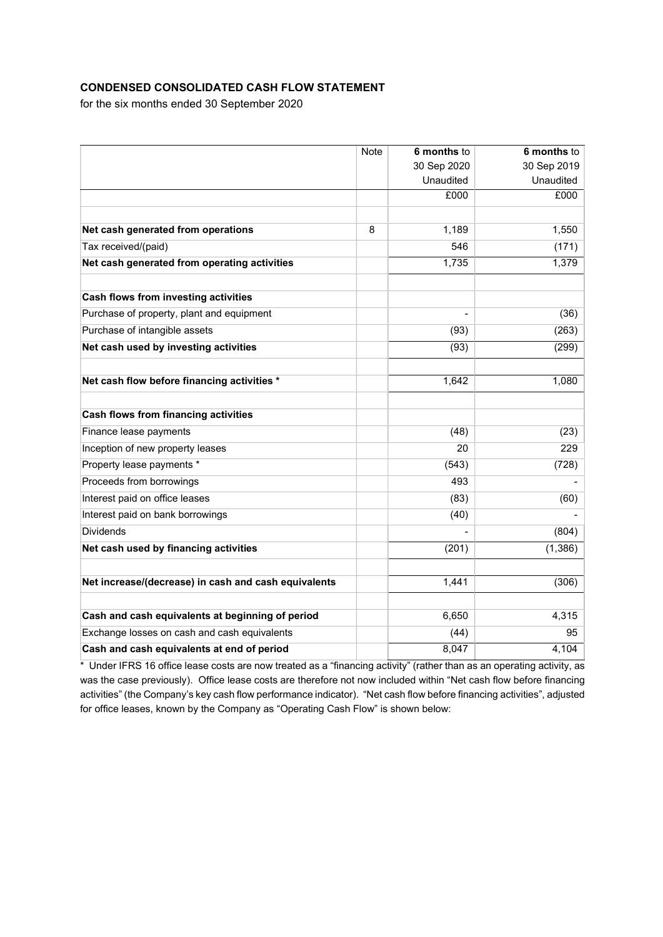## CONDENSED CONSOLIDATED CASH FLOW STATEMENT

for the six months ended 30 September 2020

|                                                      | Note | 6 months to | 6 months to |
|------------------------------------------------------|------|-------------|-------------|
|                                                      |      | 30 Sep 2020 | 30 Sep 2019 |
|                                                      |      | Unaudited   | Unaudited   |
|                                                      |      | £000        | £000        |
|                                                      |      |             |             |
| Net cash generated from operations                   | 8    | 1,189       | 1,550       |
| Tax received/(paid)                                  |      | 546         | (171)       |
| Net cash generated from operating activities         |      | 1,735       | 1,379       |
| Cash flows from investing activities                 |      |             |             |
| Purchase of property, plant and equipment            |      |             | (36)        |
| Purchase of intangible assets                        |      | (93)        | (263)       |
| Net cash used by investing activities                |      | (93)        | (299)       |
| Net cash flow before financing activities *          |      | 1,642       | 1,080       |
|                                                      |      |             |             |
| Cash flows from financing activities                 |      |             |             |
| Finance lease payments                               |      | (48)        | (23)        |
| Inception of new property leases                     |      | 20          | 229         |
| Property lease payments *                            |      | (543)       | (728)       |
| Proceeds from borrowings                             |      | 493         |             |
| Interest paid on office leases                       |      | (83)        | (60)        |
| Interest paid on bank borrowings                     |      | (40)        |             |
| <b>Dividends</b>                                     |      |             | (804)       |
| Net cash used by financing activities                |      | (201)       | (1,386)     |
| Net increase/(decrease) in cash and cash equivalents |      | 1,441       | (306)       |
|                                                      |      |             |             |
| Cash and cash equivalents at beginning of period     |      | 6,650       | 4,315       |
| Exchange losses on cash and cash equivalents         |      | (44)        | 95          |
| Cash and cash equivalents at end of period           |      | 8,047       | 4,104       |

\* Under IFRS 16 office lease costs are now treated as a "financing activity" (rather than as an operating activity, as was the case previously). Office lease costs are therefore not now included within "Net cash flow before financing activities" (the Company's key cash flow performance indicator). "Net cash flow before financing activities", adjusted for office leases, known by the Company as "Operating Cash Flow" is shown below: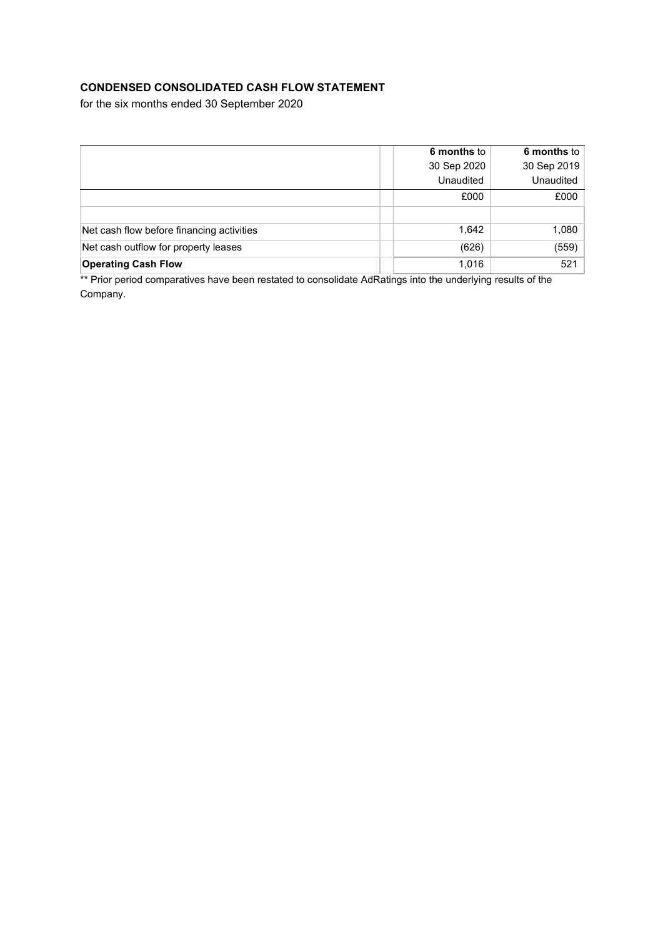## CONDENSED CONSOLIDATED CASH FLOW STATEMENT

for the six months ended 30 September 2020

|                                           | 6 months to | 6 months to |
|-------------------------------------------|-------------|-------------|
|                                           | 30 Sep 2020 | 30 Sep 2019 |
|                                           | Unaudited   | Unaudited   |
|                                           | £000        | £000        |
|                                           |             |             |
| Net cash flow before financing activities | 1,642       | 1,080       |
| Net cash outflow for property leases      | (626)       | (559)       |
| <b>Operating Cash Flow</b>                | 1,016       | 521         |

\*\* Prior period comparatives have been restated to consolidate AdRatings into the underlying results of the Company.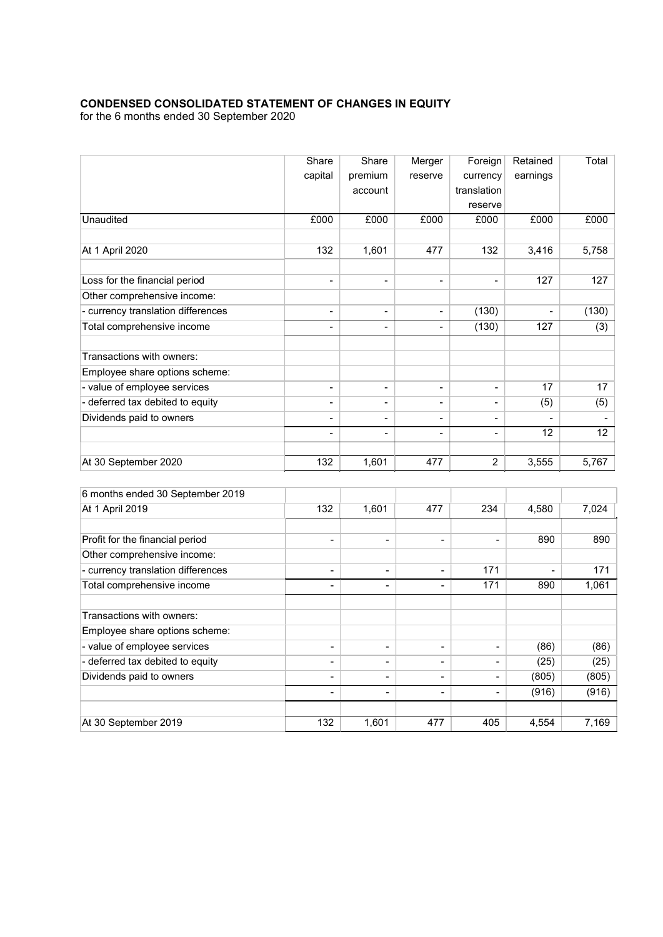## CONDENSED CONSOLIDATED STATEMENT OF CHANGES IN EQUITY

for the 6 months ended 30 September 2020

|                                    | Share                    | Share                        | Merger                   | Foreign                  | Retained       | Total |
|------------------------------------|--------------------------|------------------------------|--------------------------|--------------------------|----------------|-------|
|                                    | capital                  | premium                      | reserve                  | currency                 | earnings       |       |
|                                    |                          | account                      |                          | translation              |                |       |
|                                    |                          |                              |                          | reserve                  |                |       |
| Unaudited                          | £000                     | £000                         | £000                     | £000                     | £000           | £000  |
| At 1 April 2020                    | 132                      | 1,601                        | 477                      | 132                      | 3,416          | 5,758 |
| Loss for the financial period      | $\overline{a}$           | $\overline{\phantom{a}}$     | $\overline{\phantom{a}}$ | $\overline{\phantom{0}}$ | 127            | 127   |
| Other comprehensive income:        |                          |                              |                          |                          |                |       |
| - currency translation differences | $\blacksquare$           | $\overline{\phantom{a}}$     | $\overline{\phantom{a}}$ | (130)                    | $\blacksquare$ | (130) |
| Total comprehensive income         |                          |                              | $\blacksquare$           | (130)                    | 127            | (3)   |
| Transactions with owners:          |                          |                              |                          |                          |                |       |
| Employee share options scheme:     |                          |                              |                          |                          |                |       |
| - value of employee services       | $\overline{\phantom{a}}$ | $\blacksquare$               | $\overline{\phantom{a}}$ | $\overline{\phantom{0}}$ | 17             | 17    |
| - deferred tax debited to equity   | $\overline{\phantom{0}}$ | $\blacksquare$               | $\overline{\phantom{a}}$ | $\overline{\phantom{0}}$ | (5)            | (5)   |
| Dividends paid to owners           | $\blacksquare$           | $\blacksquare$               | $\overline{\phantom{a}}$ | $\overline{\phantom{0}}$ |                |       |
|                                    | $\overline{\phantom{0}}$ | $\blacksquare$               | $\overline{\phantom{a}}$ | $\overline{\phantom{0}}$ | 12             | 12    |
| At 30 September 2020               | 132                      | 1,601                        | 477                      | $\overline{2}$           | 3,555          | 5,767 |
| 6 months ended 30 September 2019   |                          |                              |                          |                          |                |       |
| At 1 April 2019                    | 132                      | 1,601                        | 477                      | 234                      | 4,580          | 7,024 |
| Profit for the financial period    | $\overline{\phantom{a}}$ | $\qquad \qquad \blacksquare$ | $\overline{a}$           | $\overline{\phantom{a}}$ | 890            | 890   |
| Other comprehensive income:        |                          |                              |                          |                          |                |       |
| - currency translation differences | $\overline{\phantom{a}}$ | $\overline{\phantom{a}}$     | $\overline{a}$           | 171                      |                | 171   |
| Total comprehensive income         | $\blacksquare$           | $\overline{\phantom{a}}$     | $\overline{a}$           | 171                      | 890            | 1,061 |
|                                    |                          |                              |                          |                          |                |       |

| ALIA PHILZUIS                      | ے د ا                    | ו טט, ו                  | 411                      | ⊬ت∠                      | 4.JOU                    | 1,024 |
|------------------------------------|--------------------------|--------------------------|--------------------------|--------------------------|--------------------------|-------|
|                                    |                          |                          |                          |                          |                          |       |
| Profit for the financial period    | $\overline{\phantom{0}}$ | $\blacksquare$           | -                        | -                        | 890                      | 890   |
| Other comprehensive income:        |                          |                          |                          |                          |                          |       |
| - currency translation differences | $\overline{\phantom{0}}$ | $\blacksquare$           | $\overline{\phantom{0}}$ | 171                      | $\overline{\phantom{0}}$ | 171   |
| Total comprehensive income         |                          | $\overline{\phantom{0}}$ | Ξ.                       | 171                      | 890                      | 1,061 |
| Transactions with owners:          |                          |                          |                          |                          |                          |       |
| Employee share options scheme:     |                          |                          |                          |                          |                          |       |
| - value of employee services       | $\qquad \qquad$          | $\overline{\phantom{a}}$ | -                        | $\overline{\phantom{0}}$ | (86)                     | (86)  |
| - deferred tax debited to equity   | $\overline{\phantom{0}}$ | $\overline{\phantom{0}}$ | -                        | $\overline{\phantom{0}}$ | (25)                     | (25)  |
| Dividends paid to owners           | $\overline{\phantom{0}}$ | $\blacksquare$           | $\overline{\phantom{0}}$ | -                        | (805)                    | (805) |
|                                    | -                        | $\blacksquare$           | $\overline{\phantom{0}}$ | -                        | (916)                    | (916) |
| At 30 September 2019               | 132                      | 1,601                    | 477                      | 405                      | 4,554                    | 7,169 |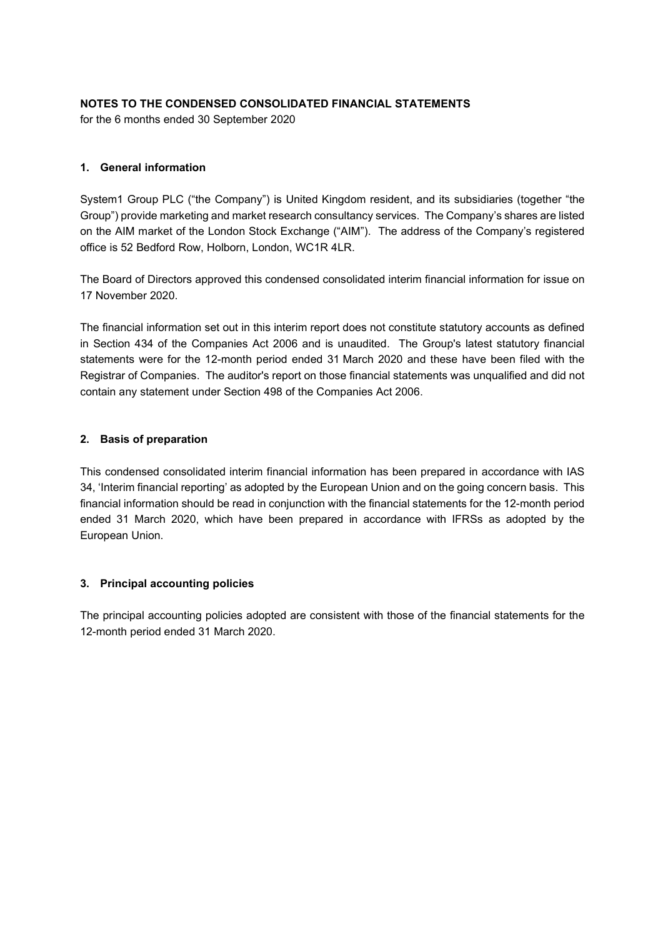## NOTES TO THE CONDENSED CONSOLIDATED FINANCIAL STATEMENTS

for the 6 months ended 30 September 2020

## 1. General information

System1 Group PLC ("the Company") is United Kingdom resident, and its subsidiaries (together "the Group") provide marketing and market research consultancy services. The Company's shares are listed on the AIM market of the London Stock Exchange ("AIM"). The address of the Company's registered office is 52 Bedford Row, Holborn, London, WC1R 4LR.

The Board of Directors approved this condensed consolidated interim financial information for issue on 17 November 2020.

The financial information set out in this interim report does not constitute statutory accounts as defined in Section 434 of the Companies Act 2006 and is unaudited. The Group's latest statutory financial statements were for the 12-month period ended 31 March 2020 and these have been filed with the Registrar of Companies. The auditor's report on those financial statements was unqualified and did not contain any statement under Section 498 of the Companies Act 2006.

## 2. Basis of preparation

This condensed consolidated interim financial information has been prepared in accordance with IAS 34, 'Interim financial reporting' as adopted by the European Union and on the going concern basis. This financial information should be read in conjunction with the financial statements for the 12-month period ended 31 March 2020, which have been prepared in accordance with IFRSs as adopted by the European Union.

## 3. Principal accounting policies

The principal accounting policies adopted are consistent with those of the financial statements for the 12-month period ended 31 March 2020.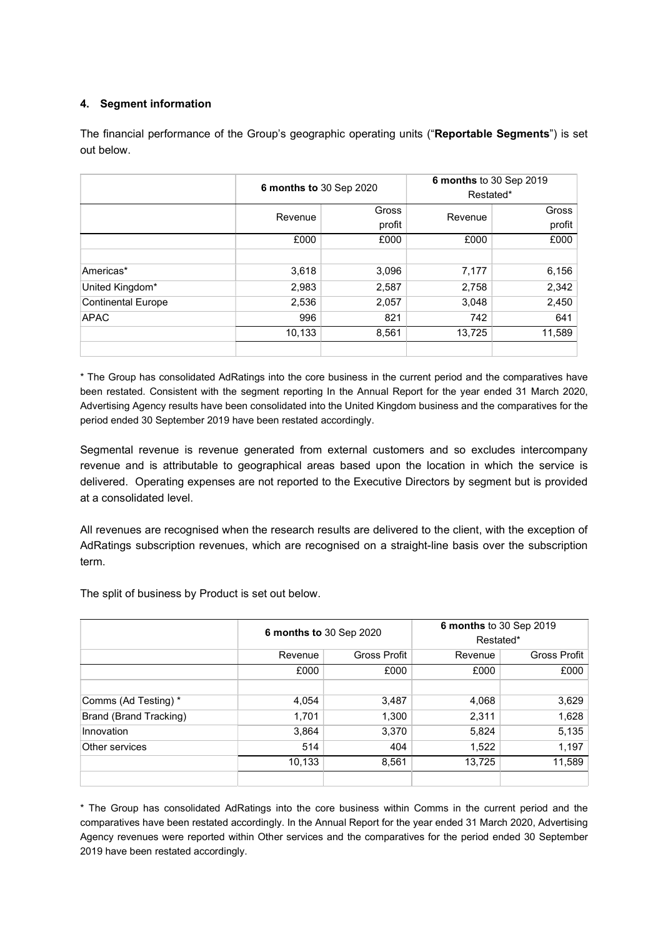## 4. Segment information

The financial performance of the Group's geographic operating units ("Reportable Segments") is set out below.

|                           |         | 6 months to 30 Sep 2020 |         | 6 months to 30 Sep 2019<br>Restated* |
|---------------------------|---------|-------------------------|---------|--------------------------------------|
|                           | Revenue | Gross                   | Revenue | Gross                                |
|                           |         | profit                  |         | profit                               |
|                           | £000    | £000                    | £000    | £000                                 |
|                           |         |                         |         |                                      |
| Americas*                 | 3,618   | 3,096                   | 7,177   | 6,156                                |
| United Kingdom*           | 2,983   | 2,587                   | 2,758   | 2,342                                |
| <b>Continental Europe</b> | 2,536   | 2,057                   | 3,048   | 2,450                                |
| <b>APAC</b>               | 996     | 821                     | 742     | 641                                  |
|                           | 10,133  | 8,561                   | 13,725  | 11,589                               |
|                           |         |                         |         |                                      |

\* The Group has consolidated AdRatings into the core business in the current period and the comparatives have been restated. Consistent with the segment reporting In the Annual Report for the year ended 31 March 2020, Advertising Agency results have been consolidated into the United Kingdom business and the comparatives for the period ended 30 September 2019 have been restated accordingly.

Segmental revenue is revenue generated from external customers and so excludes intercompany revenue and is attributable to geographical areas based upon the location in which the service is delivered. Operating expenses are not reported to the Executive Directors by segment but is provided at a consolidated level.

All revenues are recognised when the research results are delivered to the client, with the exception of AdRatings subscription revenues, which are recognised on a straight-line basis over the subscription term.

The split of business by Product is set out below.

|                        |         | 6 months to 30 Sep 2020 |        | 6 months to 30 Sep 2019<br>Restated* |
|------------------------|---------|-------------------------|--------|--------------------------------------|
|                        | Revenue | <b>Gross Profit</b>     |        | <b>Gross Profit</b>                  |
|                        | £000    | £000                    | £000   | £000                                 |
|                        |         |                         |        |                                      |
| Comms (Ad Testing) *   | 4,054   | 3,487                   | 4,068  | 3,629                                |
| Brand (Brand Tracking) | 1,701   | 1,300                   | 2,311  | 1,628                                |
| Innovation             | 3,864   | 3,370                   | 5,824  | 5,135                                |
| Other services         | 514     | 404                     | 1,522  | 1,197                                |
|                        | 10,133  | 8,561                   | 13,725 | 11,589                               |
|                        |         |                         |        |                                      |

\* The Group has consolidated AdRatings into the core business within Comms in the current period and the comparatives have been restated accordingly. In the Annual Report for the year ended 31 March 2020, Advertising Agency revenues were reported within Other services and the comparatives for the period ended 30 September 2019 have been restated accordingly.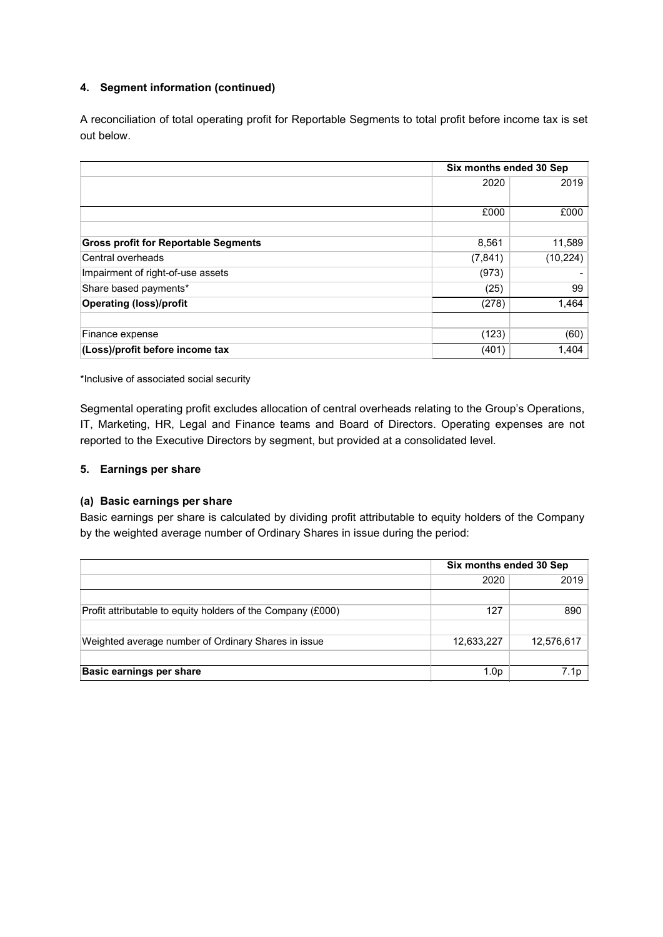## 4. Segment information (continued)

A reconciliation of total operating profit for Reportable Segments to total profit before income tax is set out below.

|                                             | Six months ended 30 Sep |          |
|---------------------------------------------|-------------------------|----------|
|                                             | 2020                    | 2019     |
|                                             | £000                    | £000     |
| <b>Gross profit for Reportable Segments</b> | 8,561                   | 11,589   |
| Central overheads                           | (7, 841)                | (10,224) |
| Impairment of right-of-use assets           | (973)                   |          |
| Share based payments*                       | (25)                    | 99       |
| <b>Operating (loss)/profit</b>              | (278)                   | 1,464    |
|                                             |                         |          |
| Finance expense                             | (123)                   | (60)     |
| (Loss)/profit before income tax             | (401)                   | 1,404    |

\*Inclusive of associated social security

Segmental operating profit excludes allocation of central overheads relating to the Group's Operations, IT, Marketing, HR, Legal and Finance teams and Board of Directors. Operating expenses are not reported to the Executive Directors by segment, but provided at a consolidated level.

## 5. Earnings per share

## (a) Basic earnings per share

Basic earnings per share is calculated by dividing profit attributable to equity holders of the Company by the weighted average number of Ordinary Shares in issue during the period:

|                                                             | Six months ended 30 Sep |            |  |
|-------------------------------------------------------------|-------------------------|------------|--|
|                                                             | 2020                    | 2019       |  |
|                                                             |                         |            |  |
| Profit attributable to equity holders of the Company (£000) | 127                     | 890        |  |
|                                                             |                         |            |  |
| Weighted average number of Ordinary Shares in issue         | 12,633,227              | 12,576,617 |  |
|                                                             |                         |            |  |
| <b>Basic earnings per share</b>                             | 1.0 <sub>D</sub>        | 7.1p       |  |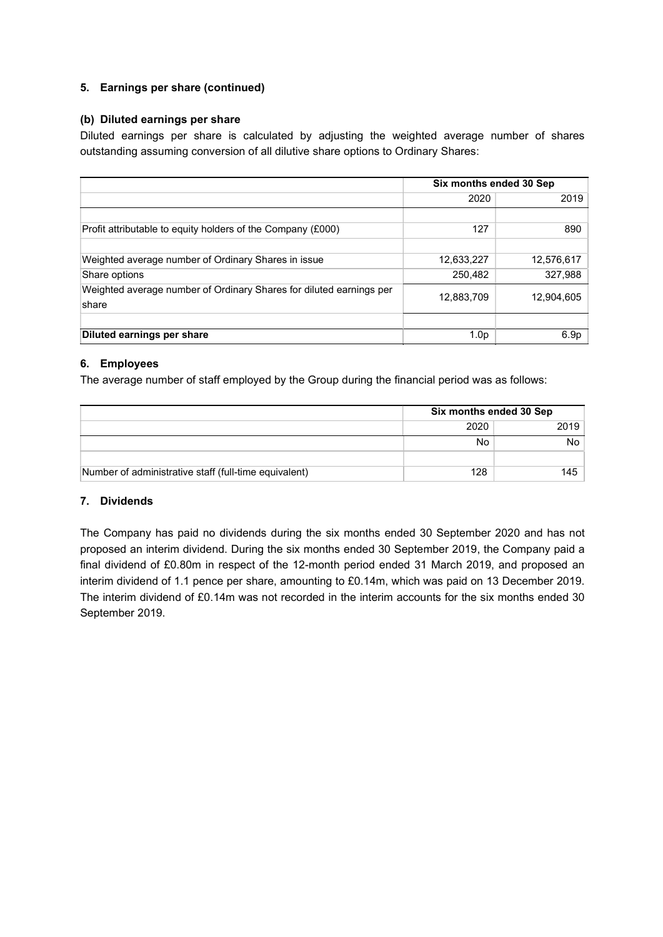## 5. Earnings per share (continued)

## (b) Diluted earnings per share

Diluted earnings per share is calculated by adjusting the weighted average number of shares outstanding assuming conversion of all dilutive share options to Ordinary Shares:

|                                                                              | Six months ended 30 Sep |            |  |
|------------------------------------------------------------------------------|-------------------------|------------|--|
|                                                                              | 2020                    | 2019       |  |
|                                                                              |                         |            |  |
| Profit attributable to equity holders of the Company (£000)                  | 127                     | 890        |  |
|                                                                              |                         |            |  |
| Weighted average number of Ordinary Shares in issue                          | 12,633,227              | 12,576,617 |  |
| Share options                                                                | 250,482                 | 327,988    |  |
| Weighted average number of Ordinary Shares for diluted earnings per<br>share | 12,883,709              | 12,904,605 |  |
|                                                                              |                         |            |  |
| Diluted earnings per share                                                   | 1.0 <sub>p</sub>        | 6.9p       |  |

## 6. Employees

The average number of staff employed by the Group during the financial period was as follows:

|                                                       | Six months ended 30 Sep |      |
|-------------------------------------------------------|-------------------------|------|
|                                                       | 2020                    | 2019 |
|                                                       | No                      | No   |
|                                                       |                         |      |
| Number of administrative staff (full-time equivalent) | 128                     | 145  |

## 7. Dividends

The Company has paid no dividends during the six months ended 30 September 2020 and has not proposed an interim dividend. During the six months ended 30 September 2019, the Company paid a final dividend of £0.80m in respect of the 12-month period ended 31 March 2019, and proposed an interim dividend of 1.1 pence per share, amounting to £0.14m, which was paid on 13 December 2019. The interim dividend of £0.14m was not recorded in the interim accounts for the six months ended 30 September 2019.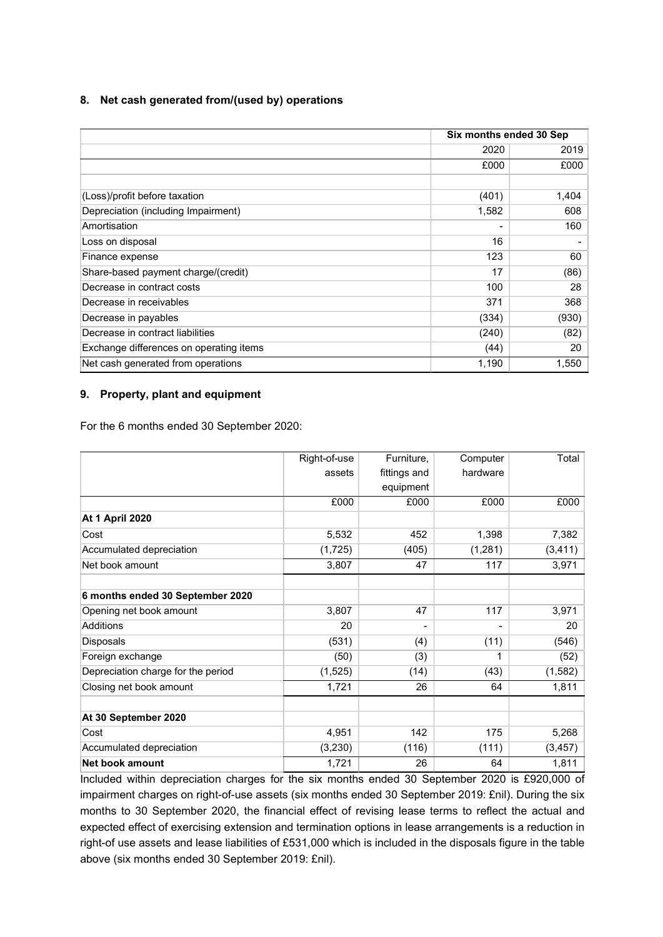## 8. Net cash generated from/(used by) operations

|                                         | Six months ended 30 Sep |       |
|-----------------------------------------|-------------------------|-------|
|                                         | 2020                    | 2019  |
|                                         | £000                    | £000  |
|                                         |                         |       |
| (Loss)/profit before taxation           | (401)                   | 1,404 |
| Depreciation (including Impairment)     | 1,582                   | 608   |
| Amortisation                            |                         | 160   |
| Loss on disposal                        | 16                      |       |
| Finance expense                         | 123                     | 60    |
| Share-based payment charge/(credit)     | 17                      | (86)  |
| Decrease in contract costs              | 100                     | 28    |
| Decrease in receivables                 | 371                     | 368   |
| Decrease in payables                    | (334)                   | (930) |
| Decrease in contract liabilities        | (240)                   | (82)  |
| Exchange differences on operating items | (44)                    | 20    |
| Net cash generated from operations      | 1,190                   | 1,550 |

## 9. Property, plant and equipment

For the 6 months ended 30 September 2020:

|                                    | Right-of-use | Furniture,   | Computer | Total    |
|------------------------------------|--------------|--------------|----------|----------|
|                                    | assets       | fittings and | hardware |          |
|                                    |              | equipment    |          |          |
|                                    | £000         | £000         | £000     | £000     |
| <b>At 1 April 2020</b>             |              |              |          |          |
| Cost                               | 5,532        | 452          | 1,398    | 7,382    |
| Accumulated depreciation           | (1, 725)     | (405)        | (1,281)  | (3, 411) |
| Net book amount                    | 3,807        | 47           | 117      | 3,971    |
| 6 months ended 30 September 2020   |              |              |          |          |
| Opening net book amount            | 3,807        | 47           | 117      | 3,971    |
| <b>Additions</b>                   | 20           |              |          | 20       |
| Disposals                          | (531)        | (4)          | (11)     | (546)    |
| Foreign exchange                   | (50)         | (3)          | 1        | (52)     |
| Depreciation charge for the period | (1, 525)     | (14)         | (43)     | (1, 582) |
| Closing net book amount            | 1,721        | 26           | 64       | 1,811    |
|                                    |              |              |          |          |
| At 30 September 2020               |              |              |          |          |
| Cost                               | 4,951        | 142          | 175      | 5,268    |
| Accumulated depreciation           | (3,230)      | (116)        | (111)    | (3, 457) |
| Net book amount                    | 1,721        | 26           | 64       | 1,811    |

Included within depreciation charges for the six months ended 30 September 2020 is £920,000 of impairment charges on right-of-use assets (six months ended 30 September 2019: £nil). During the six months to 30 September 2020, the financial effect of revising lease terms to reflect the actual and expected effect of exercising extension and termination options in lease arrangements is a reduction in right-of use assets and lease liabilities of £531,000 which is included in the disposals figure in the table above (six months ended 30 September 2019: £nil).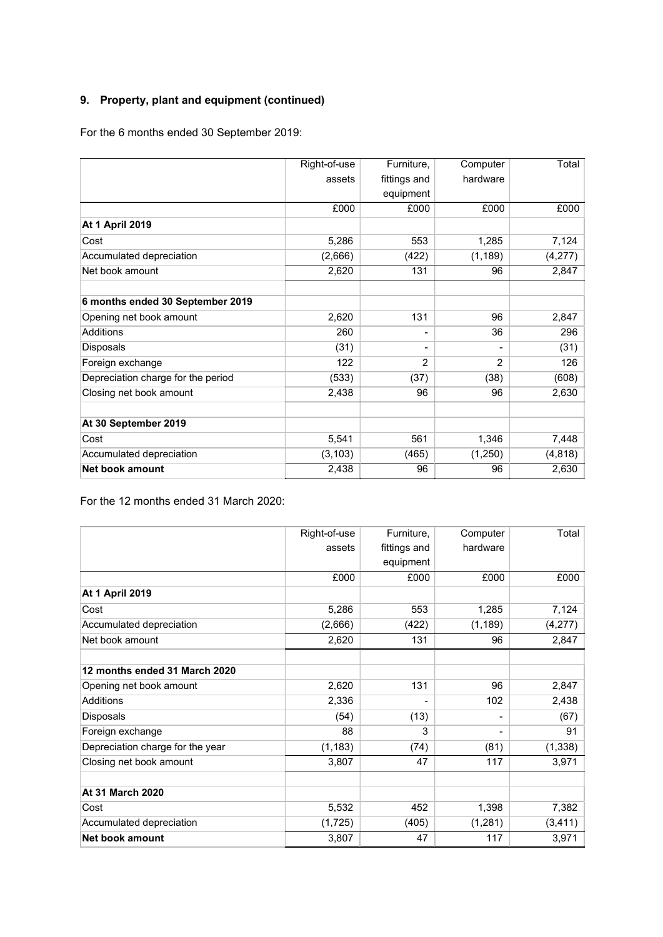# 9. Property, plant and equipment (continued)

For the 6 months ended 30 September 2019:

|                                    | Right-of-use | Furniture,               | Computer | Total    |
|------------------------------------|--------------|--------------------------|----------|----------|
|                                    | assets       | fittings and             | hardware |          |
|                                    |              | equipment                |          |          |
|                                    | £000         | £000                     | £000     | £000     |
| <b>At 1 April 2019</b>             |              |                          |          |          |
| Cost                               | 5,286        | 553                      | 1,285    | 7,124    |
| Accumulated depreciation           | (2,666)      | (422)                    | (1, 189) | (4,277)  |
| Net book amount                    | 2,620        | 131                      | 96       | 2,847    |
| 6 months ended 30 September 2019   |              |                          |          |          |
| Opening net book amount            | 2,620        | 131                      | 96       | 2,847    |
| <b>Additions</b>                   | 260          | $\blacksquare$           | 36       | 296      |
| <b>Disposals</b>                   | (31)         | $\overline{\phantom{a}}$ | -        | (31)     |
| Foreign exchange                   | 122          | $\mathfrak{p}$           | 2        | 126      |
| Depreciation charge for the period | (533)        | (37)                     | (38)     | (608)    |
| Closing net book amount            | 2,438        | 96                       | 96       | 2,630    |
| At 30 September 2019               |              |                          |          |          |
| Cost                               | 5,541        | 561                      | 1,346    | 7,448    |
| Accumulated depreciation           | (3, 103)     | (465)                    | (1,250)  | (4, 818) |
| <b>Net book amount</b>             | 2,438        | 96                       | 96       | 2,630    |

For the 12 months ended 31 March 2020:

|                                  | Right-of-use | Furniture,   | Computer | Total    |
|----------------------------------|--------------|--------------|----------|----------|
|                                  | assets       | fittings and | hardware |          |
|                                  |              | equipment    |          |          |
|                                  | £000         | £000         | £000     | £000     |
| <b>At 1 April 2019</b>           |              |              |          |          |
| Cost                             | 5,286        | 553          | 1,285    | 7,124    |
| Accumulated depreciation         | (2,666)      | (422)        | (1, 189) | (4,277)  |
| Net book amount                  | 2,620        | 131          | 96       | 2,847    |
| 12 months ended 31 March 2020    |              |              |          |          |
| Opening net book amount          | 2,620        | 131          | 96       | 2,847    |
| <b>Additions</b>                 | 2,336        |              | 102      | 2,438    |
| Disposals                        | (54)         | (13)         | -        | (67)     |
| Foreign exchange                 | 88           | 3            | -        | 91       |
| Depreciation charge for the year | (1, 183)     | (74)         | (81)     | (1, 338) |
| Closing net book amount          | 3,807        | 47           | 117      | 3,971    |
| <b>At 31 March 2020</b>          |              |              |          |          |
| Cost                             | 5,532        | 452          | 1,398    | 7,382    |
| Accumulated depreciation         | (1, 725)     | (405)        | (1, 281) | (3, 411) |
| <b>Net book amount</b>           | 3,807        | 47           | 117      | 3,971    |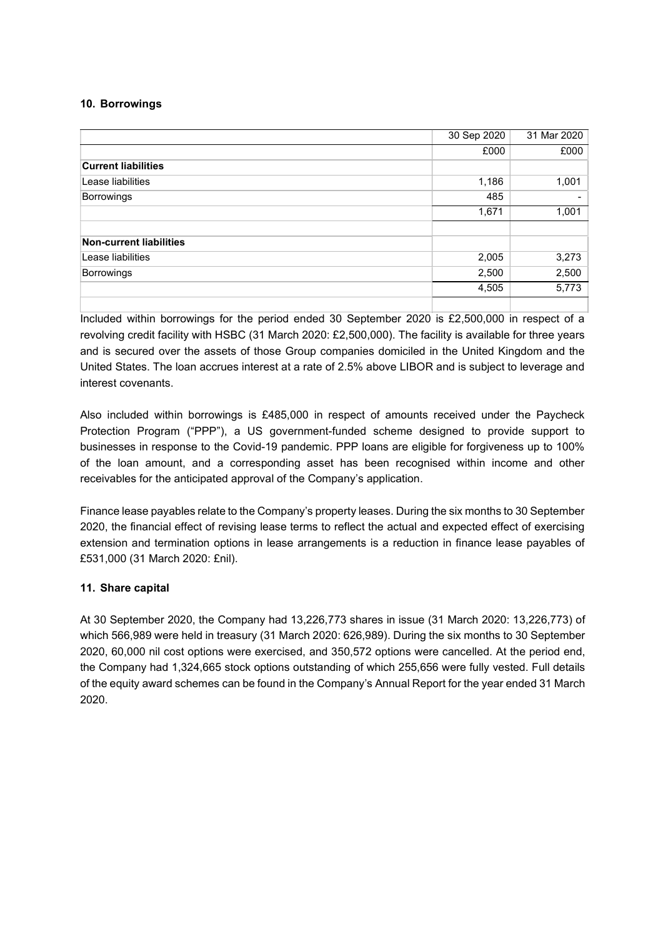## 10. Borrowings

|                            | 30 Sep 2020 | 31 Mar 2020 |
|----------------------------|-------------|-------------|
|                            | £000        | £000        |
| <b>Current liabilities</b> |             |             |
| Lease liabilities          | 1,186       | 1,001       |
| Borrowings                 | 485         | -           |
|                            | 1,671       | 1,001       |
| Non-current liabilities    |             |             |
| Lease liabilities          | 2,005       | 3,273       |
| Borrowings                 | 2,500       | 2,500       |
|                            | 4,505       | 5,773       |
|                            |             |             |

Included within borrowings for the period ended 30 September 2020 is £2,500,000 in respect of a revolving credit facility with HSBC (31 March 2020: £2,500,000). The facility is available for three years and is secured over the assets of those Group companies domiciled in the United Kingdom and the United States. The loan accrues interest at a rate of 2.5% above LIBOR and is subject to leverage and interest covenants.

Also included within borrowings is £485,000 in respect of amounts received under the Paycheck Protection Program ("PPP"), a US government-funded scheme designed to provide support to businesses in response to the Covid-19 pandemic. PPP loans are eligible for forgiveness up to 100% of the loan amount, and a corresponding asset has been recognised within income and other receivables for the anticipated approval of the Company's application.

Finance lease payables relate to the Company's property leases. During the six months to 30 September 2020, the financial effect of revising lease terms to reflect the actual and expected effect of exercising extension and termination options in lease arrangements is a reduction in finance lease payables of £531,000 (31 March 2020: £nil).

## 11. Share capital

At 30 September 2020, the Company had 13,226,773 shares in issue (31 March 2020: 13,226,773) of which 566,989 were held in treasury (31 March 2020: 626,989). During the six months to 30 September 2020, 60,000 nil cost options were exercised, and 350,572 options were cancelled. At the period end, the Company had 1,324,665 stock options outstanding of which 255,656 were fully vested. Full details of the equity award schemes can be found in the Company's Annual Report for the year ended 31 March 2020.